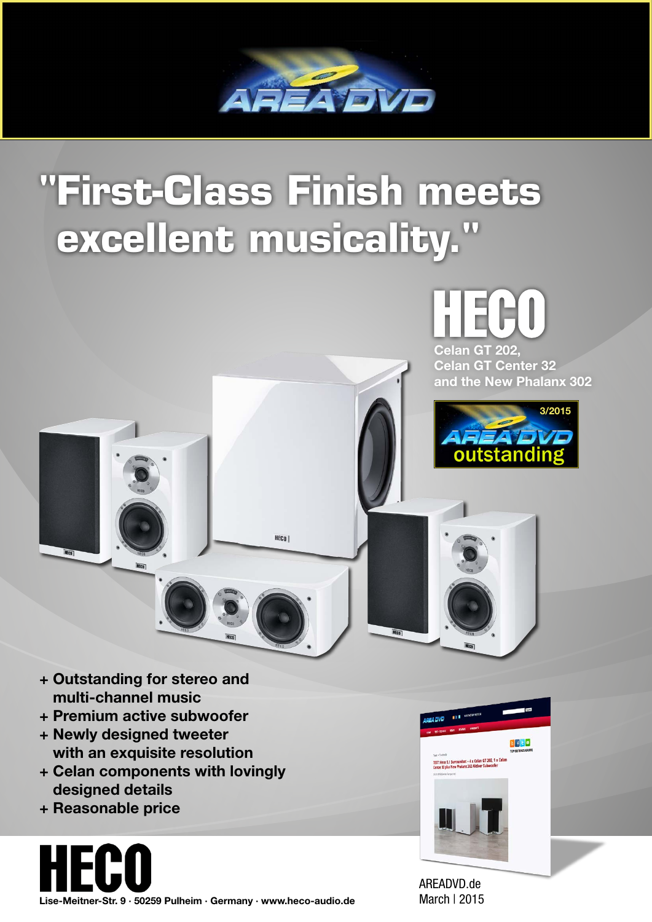

## **"First-Class Finish meets excellent musicality."**

HECO |



Celan GT 202, Celan GT Center 32 and the New Phalanx 302



 $\frac{1}{2}$ 

ndset – 4 x Celan GT 202, 1 x Ce<br>stany 302 Aktiver Subwoofer

- + Outstanding for stereo and multi-channel music
- + Premium active subwoofer
- + Newly designed tweeter with an exquisite resolution
- + Celan components with lovingly designed details
- + Reasonable price